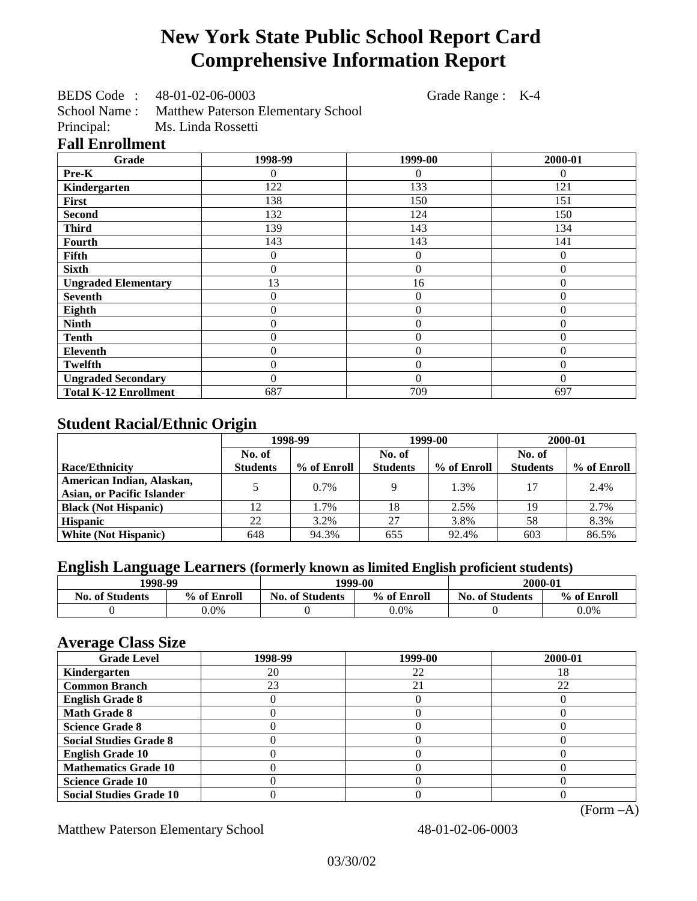# **New York State Public School Report Card Comprehensive Information Report**

BEDS Code : 48-01-02-06-0003 Grade Range : K-4

School Name : Matthew Paterson Elementary School<br>Principal: Ms. Linda Rossetti

Ms. Linda Rossetti

## **Fall Enrollment**

| Grade                        | 1998-99 | 1999-00        | 2000-01  |
|------------------------------|---------|----------------|----------|
| Pre-K                        | 0       | $\Omega$       | $\theta$ |
| Kindergarten                 | 122     | 133            | 121      |
| First                        | 138     | 150            | 151      |
| <b>Second</b>                | 132     | 124            | 150      |
| <b>Third</b>                 | 139     | 143            | 134      |
| <b>Fourth</b>                | 143     | 143            | 141      |
| Fifth                        | 0       | $\overline{0}$ | $\theta$ |
| <b>Sixth</b>                 | 0       | $\overline{0}$ |          |
| <b>Ungraded Elementary</b>   | 13      | 16             | 0        |
| <b>Seventh</b>               | 0       | $\theta$       | $\theta$ |
| Eighth                       | 0       | $\theta$       | 0        |
| <b>Ninth</b>                 | 0       | $\overline{0}$ | $\theta$ |
| <b>Tenth</b>                 | 0       | $\overline{0}$ | 0        |
| <b>Eleventh</b>              | 0       | $\overline{0}$ | $\theta$ |
| <b>Twelfth</b>               | 0       | $\overline{0}$ | $\Omega$ |
| <b>Ungraded Secondary</b>    | 0       | $\theta$       | $\theta$ |
| <b>Total K-12 Enrollment</b> | 687     | 709            | 697      |

# **Student Racial/Ethnic Origin**

|                                   | 1998-99         |             | 1999-00         |             | 2000-01         |             |
|-----------------------------------|-----------------|-------------|-----------------|-------------|-----------------|-------------|
|                                   | No. of          |             | No. of          |             | No. of          |             |
| <b>Race/Ethnicity</b>             | <b>Students</b> | % of Enroll | <b>Students</b> | % of Enroll | <b>Students</b> | % of Enroll |
| American Indian, Alaskan,         |                 | $0.7\%$     |                 | 1.3%        | 17              | 2.4%        |
| <b>Asian, or Pacific Islander</b> |                 |             |                 |             |                 |             |
| <b>Black (Not Hispanic)</b>       | 12              | 1.7%        | 18              | 2.5%        | 19              | 2.7%        |
| <b>Hispanic</b>                   | 22              | 3.2%        | 27              | 3.8%        | 58              | 8.3%        |
| <b>White (Not Hispanic)</b>       | 648             | 94.3%       | 655             | 92.4%       | 603             | 86.5%       |

# **English Language Learners (formerly known as limited English proficient students)**

| 1998-99                |             | 1999-00                |             | 2000-01                |             |
|------------------------|-------------|------------------------|-------------|------------------------|-------------|
| <b>No. of Students</b> | % of Enroll | <b>No. of Students</b> | % of Enroll | <b>No. of Students</b> | % of Enroll |
|                        | $0.0\%$     |                        | $0.0\%$     |                        | $0.0\%$     |

#### **Average Class Size**

| $\overline{\phantom{a}}$<br><b>Grade Level</b> | 1998-99 | 1999-00 | 2000-01 |
|------------------------------------------------|---------|---------|---------|
| Kindergarten                                   | 20      | 22      | 18      |
| <b>Common Branch</b>                           | 23      | 21      | 22      |
| <b>English Grade 8</b>                         |         |         |         |
| <b>Math Grade 8</b>                            |         |         |         |
| <b>Science Grade 8</b>                         |         |         |         |
| <b>Social Studies Grade 8</b>                  |         |         |         |
| <b>English Grade 10</b>                        |         |         |         |
| <b>Mathematics Grade 10</b>                    |         |         |         |
| <b>Science Grade 10</b>                        |         |         |         |
| <b>Social Studies Grade 10</b>                 |         |         |         |

(Form –A)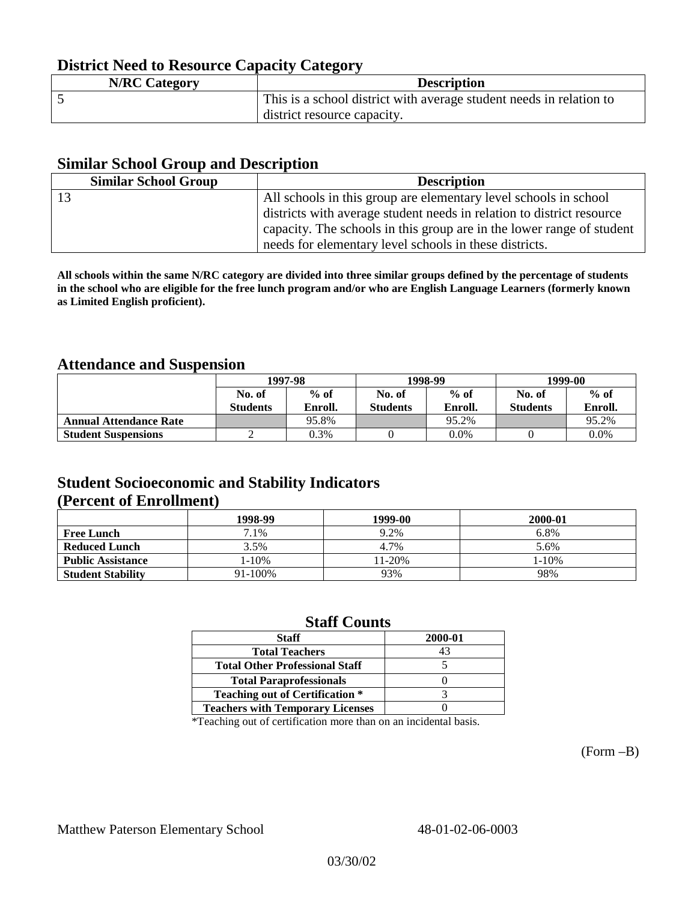# **District Need to Resource Capacity Category**

| <b>N/RC Category</b> | <b>Description</b>                                                  |
|----------------------|---------------------------------------------------------------------|
|                      | This is a school district with average student needs in relation to |
|                      | district resource capacity.                                         |

#### **Similar School Group and Description**

| <b>Similar School Group</b> | <b>Description</b>                                                    |
|-----------------------------|-----------------------------------------------------------------------|
|                             | All schools in this group are elementary level schools in school      |
|                             | districts with average student needs in relation to district resource |
|                             | capacity. The schools in this group are in the lower range of student |
|                             | needs for elementary level schools in these districts.                |

**All schools within the same N/RC category are divided into three similar groups defined by the percentage of students in the school who are eligible for the free lunch program and/or who are English Language Learners (formerly known as Limited English proficient).**

## **Attendance and Suspension**

|                               | 1997-98         |         | 1998-99         |         | 1999-00         |         |
|-------------------------------|-----------------|---------|-----------------|---------|-----------------|---------|
|                               | No. of          | $%$ of  | No. of          | $%$ of  | No. of          | $%$ of  |
|                               | <b>Students</b> | Enroll. | <b>Students</b> | Enroll. | <b>Students</b> | Enroll. |
| <b>Annual Attendance Rate</b> |                 | 95.8%   |                 | 95.2%   |                 | 95.2%   |
| <b>Student Suspensions</b>    |                 | 0.3%    |                 | $0.0\%$ |                 | 0.0%    |

## **Student Socioeconomic and Stability Indicators (Percent of Enrollment)**

|                          | 1998-99 | 1999-00   | 2000-01    |
|--------------------------|---------|-----------|------------|
| <b>Free Lunch</b>        | 7.1%    | 9.2%      | 6.8%       |
| <b>Reduced Lunch</b>     | 3.5%    | 4.7%      | 5.6%       |
| <b>Public Assistance</b> | 1-10%   | $1 - 20%$ | $1 - 10\%$ |
| <b>Student Stability</b> | 91-100% | 93%       | 98%        |

#### **Staff Counts**

| <b>Staff</b>                            | 2000-01 |
|-----------------------------------------|---------|
| <b>Total Teachers</b>                   |         |
| <b>Total Other Professional Staff</b>   |         |
| <b>Total Paraprofessionals</b>          |         |
| <b>Teaching out of Certification *</b>  |         |
| <b>Teachers with Temporary Licenses</b> |         |

\*Teaching out of certification more than on an incidental basis.

(Form –B)